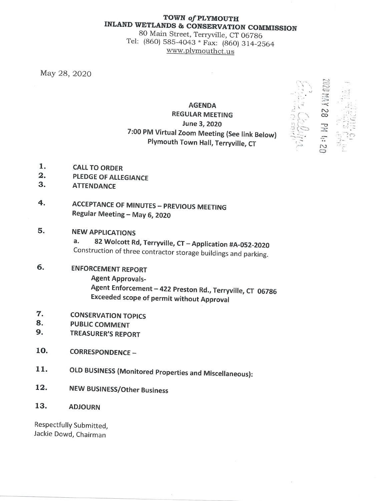## TOWN of PLYMOUTH **INLAND WETLANDS & CONSERVATION COMMISSION**

80 Main Street, Terryville, CT 06786 Tel: (860) 585-4043 \* Fax: (860) 314-2564 www.plymouthct.us

May 28, 2020

# **AGENDA REGULAR MEETING** June 3, 2020 7:00 PM Virtual Zoom Meeting (See link Below) Plymouth Town Hall, Terryville, CT



- 1. **CALL TO ORDER**
- $\overline{\mathbf{2}}$  . **PLEDGE OF ALLEGIANCE**
- 3. **ATTENDANCE**
- 4. **ACCEPTANCE OF MINUTES - PREVIOUS MEETING** Regular Meeting - May 6, 2020

### 5. **NEW APPLICATIONS**

82 Wolcott Rd, Terryville, CT - Application #A-052-2020 a. Construction of three contractor storage buildings and parking.

### 6. **ENFORCEMENT REPORT Agent Approvals-**Agent Enforcement - 422 Preston Rd., Terryville, CT 06786 **Exceeded scope of permit without Approval**

- 7. **CONSERVATION TOPICS**
- 8. **PUBLIC COMMENT**
- 9. **TREASURER'S REPORT**

### 10. **CORRESPONDENCE -**

- 11. **OLD BUSINESS (Monitored Properties and Miscellaneous):**
- 12. **NEW BUSINESS/Other Business**

#### 13. **ADJOURN**

Respectfully Submitted, Jackie Dowd, Chairman